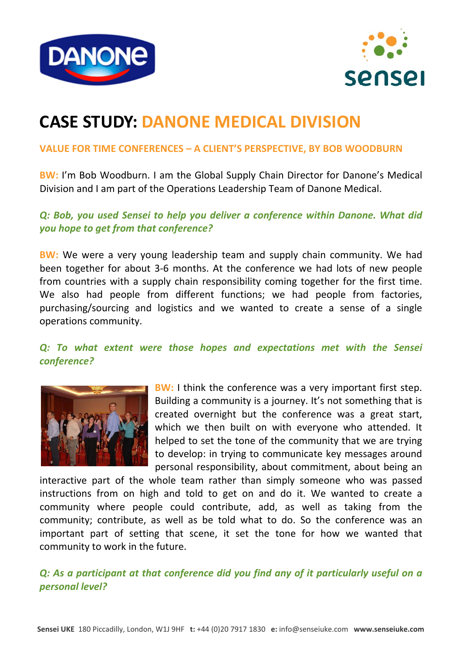



# **CASE STUDY: DANONE MEDICAL DIVISION**

#### **VALUE FOR TIME CONFERENCES – A CLIENT'S PERSPECTIVE, BY BOB WOODBURN**

**BW:** I'm Bob Woodburn. I am the Global Supply Chain Director for Danone's Medical Division and I am part of the Operations Leadership Team of Danone Medical.

#### *Q: Bob, you used Sensei to help you deliver a conference within Danone. What did you hope to get from that conference?*

**BW:** We were a very young leadership team and supply chain community. We had been together for about 3-6 months. At the conference we had lots of new people from countries with a supply chain responsibility coming together for the first time. We also had people from different functions; we had people from factories, purchasing/sourcing and logistics and we wanted to create a sense of a single operations community.

### *Q: To what extent were those hopes and expectations met with the Sensei conference?*



**BW:** I think the conference was a very important first step. Building a community is a journey. It's not something that is created overnight but the conference was a great start, which we then built on with everyone who attended. It helped to set the tone of the community that we are trying to develop: in trying to communicate key messages around personal responsibility, about commitment, about being an

interactive part of the whole team rather than simply someone who was passed instructions from on high and told to get on and do it. We wanted to create a community where people could contribute, add, as well as taking from the community; contribute, as well as be told what to do. So the conference was an important part of setting that scene, it set the tone for how we wanted that community to work in the future.

*Q: As a participant at that conference did you find any of it particularly useful on a personal level?*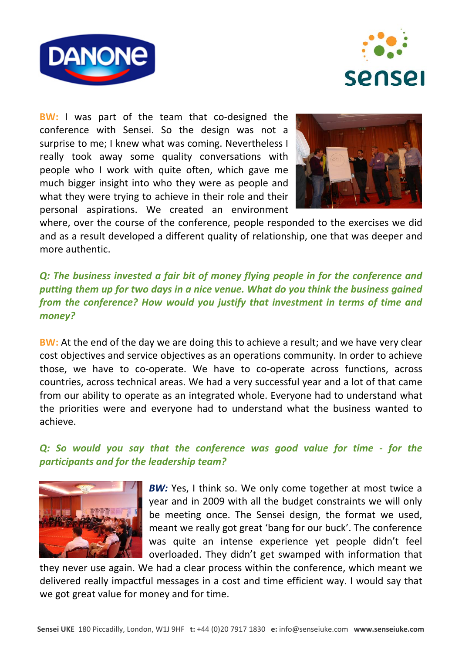



**BW:** I was part of the team that co-designed the conference with Sensei. So the design was not a surprise to me; I knew what was coming. Nevertheless I really took away some quality conversations with people who I work with quite often, which gave me much bigger insight into who they were as people and what they were trying to achieve in their role and their personal aspirations. We created an environment



where, over the course of the conference, people responded to the exercises we did and as a result developed a different quality of relationship, one that was deeper and more authentic.

### *Q: The business invested a fair bit of money flying people in for the conference and putting them up for two days in a nice venue. What do you think the business gained from the conference? How would you justify that investment in terms of time and money?*

**BW:** At the end of the day we are doing this to achieve a result; and we have very clear cost objectives and service objectives as an operations community. In order to achieve those, we have to co‐operate. We have to co‐operate across functions, across countries, across technical areas. We had a very successful year and a lot of that came from our ability to operate as an integrated whole. Everyone had to understand what the priorities were and everyone had to understand what the business wanted to achieve.

### *Q: So would you say that the conference was good value for time ‐ for the participants and for the leadership team?*



*BW:* Yes, I think so. We only come together at most twice a year and in 2009 with all the budget constraints we will only be meeting once. The Sensei design, the format we used, meant we really got great 'bang for our buck'. The conference was quite an intense experience yet people didn't feel overloaded. They didn't get swamped with information that

they never use again. We had a clear process within the conference, which meant we delivered really impactful messages in a cost and time efficient way. I would say that we got great value for money and for time.